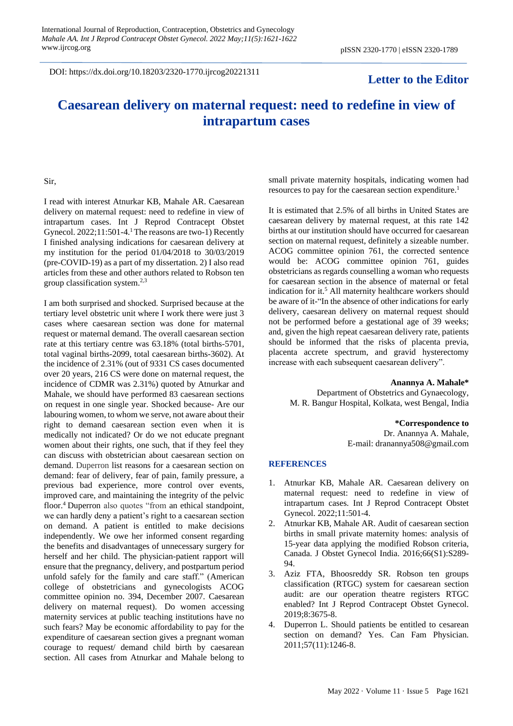DOI: https://dx.doi.org/10.18203/2320-1770.ijrcog20221311

# **Letter to the Editor**

# **Caesarean delivery on maternal request: need to redefine in view of intrapartum cases**

## Sir,

I read with interest Atnurkar KB, Mahale AR. Caesarean delivery on maternal request: need to redefine in view of intrapartum cases. Int J Reprod Contracept Obstet Gynecol. 2022;11:501-4.<sup>1</sup> The reasons are two-1) Recently I finished analysing indications for caesarean delivery at my institution for the period 01/04/2018 to 30/03/2019 (pre-COVID-19) as a part of my dissertation. 2) I also read articles from these and other authors related to Robson ten group classification system. $2,3$ 

I am both surprised and shocked. Surprised because at the tertiary level obstetric unit where I work there were just 3 cases where caesarean section was done for maternal request or maternal demand. The overall caesarean section rate at this tertiary centre was 63.18% (total births-5701, total vaginal births-2099, total caesarean births-3602). At the incidence of 2.31% (out of 9331 CS cases documented over 20 years, 216 CS were done on maternal request, the incidence of CDMR was 2.31%) quoted by Atnurkar and Mahale, we should have performed 83 caesarean sections on request in one single year. Shocked because- Are our labouring women, to whom we serve, not aware about their right to demand caesarean section even when it is medically not indicated? Or do we not educate pregnant women about their rights, one such, that if they feel they can discuss with obstetrician about caesarean section on demand. Duperron list reasons for a caesarean section on demand: fear of delivery, fear of pain, family pressure, a previous bad experience, more control over events, improved care, and maintaining the integrity of the pelvic floor.<sup>4</sup> Duperron also quotes "from an ethical standpoint, we can hardly deny a patient's right to a caesarean section on demand. A patient is entitled to make decisions independently. We owe her informed consent regarding the benefits and disadvantages of unnecessary surgery for herself and her child. The physician-patient rapport will ensure that the pregnancy, delivery, and postpartum period unfold safely for the family and care staff." (American college of obstetricians and gynecologists ACOG committee opinion no. 394, December 2007. Caesarean delivery on maternal request). Do women accessing maternity services at public teaching institutions have no such fears? May be economic affordability to pay for the expenditure of caesarean section gives a pregnant woman courage to request/ demand child birth by caesarean section. All cases from Atnurkar and Mahale belong to

small private maternity hospitals, indicating women had resources to pay for the caesarean section expenditure.<sup>1</sup>

It is estimated that 2.5% of all births in United States are caesarean delivery by maternal request, at this rate 142 births at our institution should have occurred for caesarean section on maternal request, definitely a sizeable number. ACOG committee opinion 761, the corrected sentence would be: ACOG committee opinion 761, guides obstetricians as regards counselling a woman who requests for caesarean section in the absence of maternal or fetal indication for it. <sup>5</sup> All maternity healthcare workers should be aware of it-"In the absence of other indications for early delivery, caesarean delivery on maternal request should not be performed before a gestational age of 39 weeks; and, given the high repeat caesarean delivery rate, patients should be informed that the risks of placenta previa, placenta accrete spectrum, and gravid hysterectomy increase with each subsequent caesarean delivery".

### **Anannya A. Mahale\***

Department of Obstetrics and Gynaecology, M. R. Bangur Hospital, Kolkata, west Bengal, India

**\*Correspondence to**

Dr. Anannya A. Mahale, E-mail: dranannya508@gmail.com

### **REFERENCES**

- 1. Atnurkar KB, Mahale AR. Caesarean delivery on maternal request: need to redefine in view of intrapartum cases. Int J Reprod Contracept Obstet Gynecol. 2022;11:501-4.
- 2. Atnurkar KB, Mahale AR. Audit of caesarean section births in small private maternity homes: analysis of 15-year data applying the modified Robson criteria, Canada. J Obstet Gynecol India. 2016;66(S1):S289- 94.
- 3. Aziz FTA, Bhoosreddy SR. Robson ten groups classification (RTGC) system for caesarean section audit: are our operation theatre registers RTGC enabled? Int J Reprod Contracept Obstet Gynecol. 2019;8:3675-8.
- 4. Duperron L. Should patients be entitled to cesarean section on demand? Yes. Can Fam Physician. 2011;57(11):1246-8.